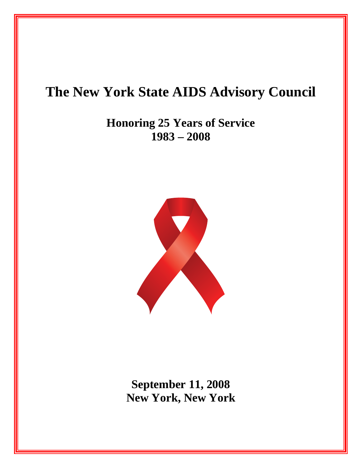# **The New York State AIDS Advisory Council**

**Honoring 25 Years of Service 1983 – 2008** 



**September 11, 2008 New York, New York**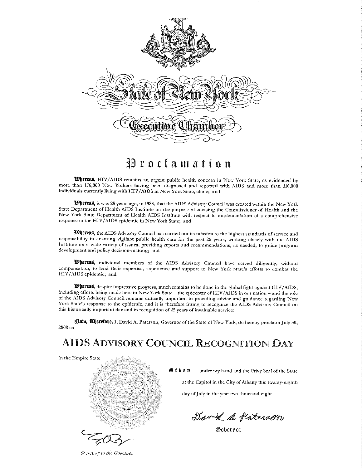

Proclamation

Whereas, HIV/AIDS remains an urgent public health concern in New York State, as evidenced by more than 176,000 New Yorkers having been diagnosed and reported with AIDS and more than 116,000 individuals currently living with HIV/AIDS in New York State, alone; and

Whereas, it was 25 years ago, in 1983, that the AIDS Advisory Council was created within the New York State Department of Health AIDS Institute for the purpose of advising the Commissioner of Health and the New York State Department of Health AIDS Institute with respect to implementation of a comprehensive response to the HIV/AIDS epidemic in New York State; and

Whereas, the AIDS Advisory Council has carried out its mission to the highest standards of service and responsibility in ensuring vigilant public health care for the past 25 years, working closely with the AIDS Institute on a wide variety of issues, providing reports and recommendations, as needed, to guide program development and policy decision-making; and

Whereas, individual members of the AIDS Advisory Council have served diligently, without compensation, to lend their expertise, experience and support to New York State's efforts to combat the HIV/AIDS epidemic; and

Whereas, despite impressive progress, much remains to be done in the global fight against HIV/AIDS, including efforts being made here in New York State - the epicenter of HIV/AIDS in our nation - and the role of the AIDS Advisory Council remains critically important in providing advice and guidance regarding New York State's response to the epidemic, and it is therefore fitting to recognize the AIDS Advisory Council on this historically important day and in recognition of 25 years of invaluable service;

flow, Cherefore, I, David A. Paterson, Governor of the State of New York, do hereby proclaim July 30, 2008 as

# **AIDS ADVISORY COUNCIL RECOGNITION DAY**

in the Empire State.



Giben under my hand and the Privy Seal of the State at the Capitol in the City of Albany this twenty-eighth day of July in the year two thousand eight.

David B. Paterson

Gobernor

Secretary to the Governor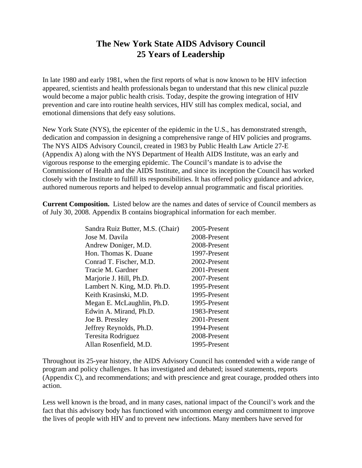### **The New York State AIDS Advisory Council 25 Years of Leadership**

In late 1980 and early 1981, when the first reports of what is now known to be HIV infection appeared, scientists and health professionals began to understand that this new clinical puzzle would become a major public health crisis. Today, despite the growing integration of HIV prevention and care into routine health services, HIV still has complex medical, social, and emotional dimensions that defy easy solutions.

New York State (NYS), the epicenter of the epidemic in the U.S., has demonstrated strength, dedication and compassion in designing a comprehensive range of HIV policies and programs. The NYS AIDS Advisory Council, created in 1983 by Public Health Law Article 27-E (Appendix A) along with the NYS Department of Health AIDS Institute, was an early and vigorous response to the emerging epidemic. The Council's mandate is to advise the Commissioner of Health and the AIDS Institute, and since its inception the Council has worked closely with the Institute to fulfill its responsibilities. It has offered policy guidance and advice, authored numerous reports and helped to develop annual programmatic and fiscal priorities.

**Current Composition.** Listed below are the names and dates of service of Council members as of July 30, 2008. Appendix B contains biographical information for each member.

| Sandra Ruiz Butter, M.S. (Chair) | 2005-Present |
|----------------------------------|--------------|
| Jose M. Davila                   | 2008-Present |
| Andrew Doniger, M.D.             | 2008-Present |
| Hon. Thomas K. Duane             | 1997-Present |
| Conrad T. Fischer, M.D.          | 2002-Present |
| Tracie M. Gardner                | 2001-Present |
| Marjorie J. Hill, Ph.D.          | 2007-Present |
| Lambert N. King, M.D. Ph.D.      | 1995-Present |
| Keith Krasinski, M.D.            | 1995-Present |
| Megan E. McLaughlin, Ph.D.       | 1995-Present |
| Edwin A. Mirand, Ph.D.           | 1983-Present |
| Joe B. Pressley                  | 2001-Present |
| Jeffrey Reynolds, Ph.D.          | 1994-Present |
| Teresita Rodriguez               | 2008-Present |
| Allan Rosenfield, M.D.           | 1995-Present |

Throughout its 25-year history, the AIDS Advisory Council has contended with a wide range of program and policy challenges. It has investigated and debated; issued statements, reports (Appendix C), and recommendations; and with prescience and great courage, prodded others into action.

Less well known is the broad, and in many cases, national impact of the Council's work and the fact that this advisory body has functioned with uncommon energy and commitment to improve the lives of people with HIV and to prevent new infections. Many members have served for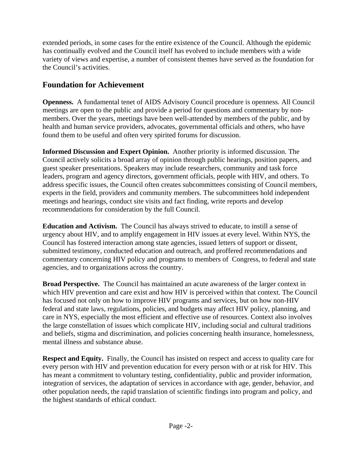extended periods, in some cases for the entire existence of the Council. Although the epidemic has continually evolved and the Council itself has evolved to include members with a wide variety of views and expertise, a number of consistent themes have served as the foundation for the Council's activities.

### **Foundation for Achievement**

**Openness.** A fundamental tenet of AIDS Advisory Council procedure is openness. All Council meetings are open to the public and provide a period for questions and commentary by nonmembers. Over the years, meetings have been well-attended by members of the public, and by health and human service providers, advocates, governmental officials and others, who have found them to be useful and often very spirited forums for discussion.

**Informed Discussion and Expert Opinion.** Another priority is informed discussion. The Council actively solicits a broad array of opinion through public hearings, position papers, and guest speaker presentations. Speakers may include researchers, community and task force leaders, program and agency directors, government officials, people with HIV, and others. To address specific issues, the Council often creates subcommittees consisting of Council members, experts in the field, providers and community members. The subcommittees hold independent meetings and hearings, conduct site visits and fact finding, write reports and develop recommendations for consideration by the full Council.

**Education and Activism.** The Council has always strived to educate, to instill a sense of urgency about HIV, and to amplify engagement in HIV issues at every level. Within NYS, the Council has fostered interaction among state agencies, issued letters of support or dissent, submitted testimony, conducted education and outreach, and proffered recommendations and commentary concerning HIV policy and programs to members of Congress, to federal and state agencies, and to organizations across the country.

**Broad Perspective.** The Council has maintained an acute awareness of the larger context in which HIV prevention and care exist and how HIV is perceived within that context. The Council has focused not only on how to improve HIV programs and services, but on how non-HIV federal and state laws, regulations, policies, and budgets may affect HIV policy, planning, and care in NYS, especially the most efficient and effective use of resources. Context also involves the large constellation of issues which complicate HIV, including social and cultural traditions and beliefs, stigma and discrimination, and policies concerning health insurance, homelessness, mental illness and substance abuse.

**Respect and Equity.** Finally, the Council has insisted on respect and access to quality care for every person with HIV and prevention education for every person with or at risk for HIV. This has meant a commitment to voluntary testing, confidentiality, public and provider information, integration of services, the adaptation of services in accordance with age, gender, behavior, and other population needs, the rapid translation of scientific findings into program and policy, and the highest standards of ethical conduct.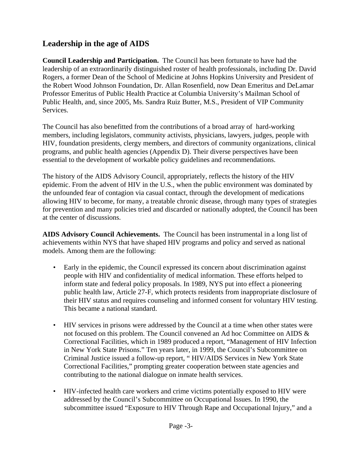# **Leadership in the age of AIDS**

**Council Leadership and Participation.** The Council has been fortunate to have had the leadership of an extraordinarily distinguished roster of health professionals, including Dr. David Rogers, a former Dean of the School of Medicine at Johns Hopkins University and President of the Robert Wood Johnson Foundation, Dr. Allan Rosenfield, now Dean Emeritus and DeLamar Professor Emeritus of Public Health Practice at Columbia University's Mailman School of Public Health, and, since 2005, Ms. Sandra Ruiz Butter, M.S., President of VIP Community Services.

The Council has also benefitted from the contributions of a broad array of hard-working members, including legislators, community activists, physicians, lawyers, judges, people with HIV, foundation presidents, clergy members, and directors of community organizations, clinical programs, and public health agencies (Appendix D). Their diverse perspectives have been essential to the development of workable policy guidelines and recommendations.

The history of the AIDS Advisory Council, appropriately, reflects the history of the HIV epidemic. From the advent of HIV in the U.S., when the public environment was dominated by the unfounded fear of contagion via casual contact, through the development of medications allowing HIV to become, for many, a treatable chronic disease, through many types of strategies for prevention and many policies tried and discarded or nationally adopted, the Council has been at the center of discussions.

**AIDS Advisory Council Achievements.** The Council has been instrumental in a long list of achievements within NYS that have shaped HIV programs and policy and served as national models. Among them are the following:

- Early in the epidemic, the Council expressed its concern about discrimination against people with HIV and confidentiality of medical information. These efforts helped to inform state and federal policy proposals. In 1989, NYS put into effect a pioneering public health law, Article 27-F, which protects residents from inappropriate disclosure of their HIV status and requires counseling and informed consent for voluntary HIV testing. This became a national standard.
- HIV services in prisons were addressed by the Council at a time when other states were not focused on this problem. The Council convened an Ad hoc Committee on AIDS & Correctional Facilities, which in 1989 produced a report, "Management of HIV Infection in New York State Prisons." Ten years later, in 1999, the Council's Subcommittee on Criminal Justice issued a follow-up report, " HIV/AIDS Services in New York State Correctional Facilities," prompting greater cooperation between state agencies and contributing to the national dialogue on inmate health services.
- • HIV-infected health care workers and crime victims potentially exposed to HIV were addressed by the Council's Subcommittee on Occupational Issues. In 1990, the subcommittee issued "Exposure to HIV Through Rape and Occupational Injury," and a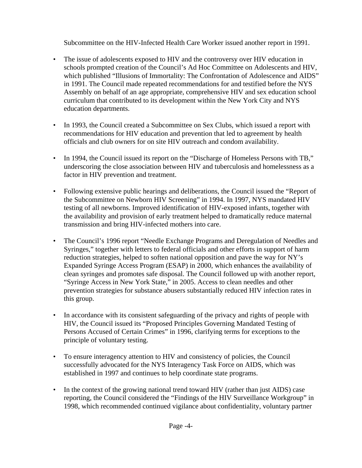Subcommittee on the HIV-Infected Health Care Worker issued another report in 1991.

- The issue of adolescents exposed to HIV and the controversy over HIV education in schools prompted creation of the Council's Ad Hoc Committee on Adolescents and HIV, which published "Illusions of Immortality: The Confrontation of Adolescence and AIDS" in 1991. The Council made repeated recommendations for and testified before the NYS Assembly on behalf of an age appropriate, comprehensive HIV and sex education school curriculum that contributed to its development within the New York City and NYS education departments.
- In 1993, the Council created a Subcommittee on Sex Clubs, which issued a report with recommendations for HIV education and prevention that led to agreement by health officials and club owners for on site HIV outreach and condom availability.
- In 1994, the Council issued its report on the "Discharge of Homeless Persons with TB," underscoring the close association between HIV and tuberculosis and homelessness as a factor in HIV prevention and treatment.
- Following extensive public hearings and deliberations, the Council issued the "Report of the Subcommittee on Newborn HIV Screening" in 1994. In 1997, NYS mandated HIV testing of all newborns. Improved identification of HIV-exposed infants, together with the availability and provision of early treatment helped to dramatically reduce maternal transmission and bring HIV-infected mothers into care.
- The Council's 1996 report "Needle Exchange Programs and Deregulation of Needles and Syringes," together with letters to federal officials and other efforts in support of harm reduction strategies, helped to soften national opposition and pave the way for NY's Expanded Syringe Access Program (ESAP) in 2000, which enhances the availability of clean syringes and promotes safe disposal. The Council followed up with another report, "Syringe Access in New York State," in 2005. Access to clean needles and other prevention strategies for substance abusers substantially reduced HIV infection rates in this group.
- In accordance with its consistent safeguarding of the privacy and rights of people with HIV, the Council issued its "Proposed Principles Governing Mandated Testing of Persons Accused of Certain Crimes" in 1996, clarifying terms for exceptions to the principle of voluntary testing.
- • To ensure interagency attention to HIV and consistency of policies, the Council successfully advocated for the NYS Interagency Task Force on AIDS, which was established in 1997 and continues to help coordinate state programs.
- In the context of the growing national trend toward HIV (rather than just AIDS) case reporting, the Council considered the "Findings of the HIV Surveillance Workgroup" in 1998, which recommended continued vigilance about confidentiality, voluntary partner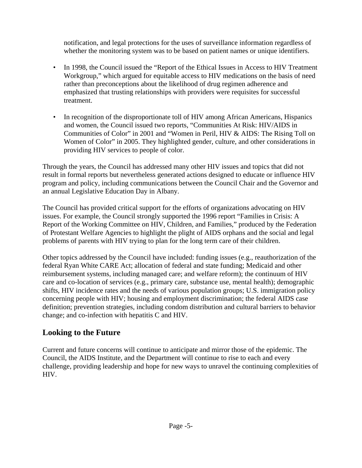notification, and legal protections for the uses of surveillance information regardless of whether the monitoring system was to be based on patient names or unique identifiers.

- In 1998, the Council issued the "Report of the Ethical Issues in Access to HIV Treatment Workgroup," which argued for equitable access to HIV medications on the basis of need rather than preconceptions about the likelihood of drug regimen adherence and emphasized that trusting relationships with providers were requisites for successful treatment.
- In recognition of the disproportionate toll of HIV among African Americans, Hispanics and women, the Council issued two reports, "Communities At Risk: HIV/AIDS in Communities of Color" in 2001 and "Women in Peril, HIV & AIDS: The Rising Toll on Women of Color" in 2005. They highlighted gender, culture, and other considerations in providing HIV services to people of color.

Through the years, the Council has addressed many other HIV issues and topics that did not result in formal reports but nevertheless generated actions designed to educate or influence HIV program and policy, including communications between the Council Chair and the Governor and an annual Legislative Education Day in Albany.

The Council has provided critical support for the efforts of organizations advocating on HIV issues. For example, the Council strongly supported the 1996 report "Families in Crisis: A Report of the Working Committee on HIV, Children, and Families," produced by the Federation of Protestant Welfare Agencies to highlight the plight of AIDS orphans and the social and legal problems of parents with HIV trying to plan for the long term care of their children.

Other topics addressed by the Council have included: funding issues (e.g., reauthorization of the federal Ryan White CARE Act; allocation of federal and state funding; Medicaid and other reimbursement systems, including managed care; and welfare reform); the continuum of HIV care and co-location of services (e.g., primary care, substance use, mental health); demographic shifts, HIV incidence rates and the needs of various population groups; U.S. immigration policy concerning people with HIV; housing and employment discrimination; the federal AIDS case definition; prevention strategies, including condom distribution and cultural barriers to behavior change; and co-infection with hepatitis C and HIV.

## **Looking to the Future**

Current and future concerns will continue to anticipate and mirror those of the epidemic. The Council, the AIDS Institute, and the Department will continue to rise to each and every challenge, providing leadership and hope for new ways to unravel the continuing complexities of HIV.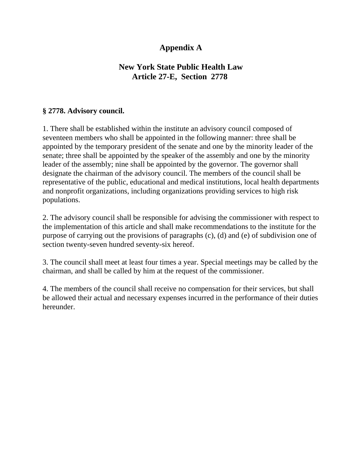## **Appendix A**

### **New York State Public Health Law Article 27-E, Section 2778**

### **§ 2778. Advisory council.**

1. There shall be established within the institute an advisory council composed of seventeen members who shall be appointed in the following manner: three shall be appointed by the temporary president of the senate and one by the minority leader of the senate; three shall be appointed by the speaker of the assembly and one by the minority leader of the assembly; nine shall be appointed by the governor. The governor shall designate the chairman of the advisory council. The members of the council shall be representative of the public, educational and medical institutions, local health departments and nonprofit organizations, including organizations providing services to high risk populations.

2. The advisory council shall be responsible for advising the commissioner with respect to the implementation of this article and shall make recommendations to the institute for the purpose of carrying out the provisions of paragraphs (c), (d) and (e) of subdivision one of section twenty-seven hundred seventy-six hereof.

3. The council shall meet at least four times a year. Special meetings may be called by the chairman, and shall be called by him at the request of the commissioner.

4. The members of the council shall receive no compensation for their services, but shall be allowed their actual and necessary expenses incurred in the performance of their duties hereunder.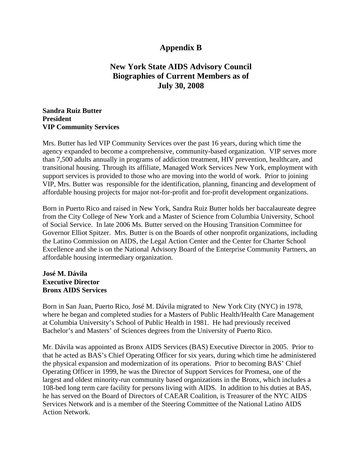### **Appendix B**

### **New York State AIDS Advisory Council Biographies of Current Members as of July 30, 2008**

#### **Sandra Ruiz Butter President VIP Community Services**

Mrs. Butter has led VIP Community Services over the past 16 years, during which time the agency expanded to become a comprehensive, community-based organization. VIP serves more than 7,500 adults annually in programs of addiction treatment, HIV prevention, healthcare, and transitional housing. Through its affiliate, Managed Work Services New York, employment with support services is provided to those who are moving into the world of work. Prior to joining VIP, Mrs. Butter was responsible for the identification, planning, financing and development of affordable housing projects for major not-for-profit and for-profit development organizations.

Born in Puerto Rico and raised in New York, Sandra Ruiz Butter holds her baccalaureate degree from the City College of New York and a Master of Science from Columbia University, School of Social Service. In late 2006 Ms. Butter served on the Housing Transition Committee for Governor Elliot Spitzer. Mrs. Butter is on the Boards of other nonprofit organizations, including the Latino Commission on AIDS, the Legal Action Center and the Center for Charter School Excellence and she is on the National Advisory Board of the Enterprise Community Partners, an affordable housing intermediary organization.

#### **José M. Dávila Executive Director Bronx AIDS Services**

Born in San Juan, Puerto Rico, José M. Dávila migrated to New York City (NYC) in 1978, where he began and completed studies for a Masters of Public Health/Health Care Management at Columbia University's School of Public Health in 1981. He had previously received Bachelor's and Masters' of Sciences degrees from the University of Puerto Rico.

Mr. Dávila was appointed as Bronx AIDS Services (BAS) Executive Director in 2005. Prior to that he acted as BAS's Chief Operating Officer for six years, during which time he administered the physical expansion and modernization of its operations. Prior to becoming BAS' Chief Operating Officer in 1999, he was the Director of Support Services for Promesa, one of the largest and oldest minority-run community based organizations in the Bronx, which includes a 108-bed long term care facility for persons living with AIDS. In addition to his duties at BAS, he has served on the Board of Directors of CAEAR Coalition, is Treasurer of the NYC AIDS Services Network and is a member of the Steering Committee of the National Latino AIDS Action Network.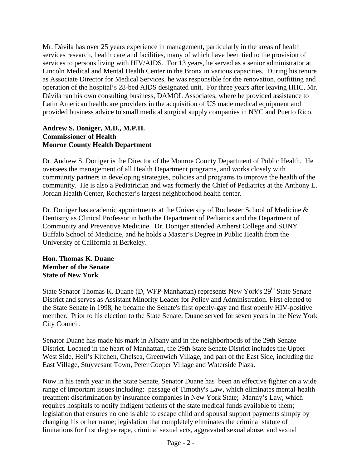Mr. Dávila has over 25 years experience in management, particularly in the areas of health services research, health care and facilities, many of which have been tied to the provision of services to persons living with HIV/AIDS. For 13 years, he served as a senior administrator at Lincoln Medical and Mental Health Center in the Bronx in various capacities. During his tenure as Associate Director for Medical Services, he was responsible for the renovation, outfitting and operation of the hospital's 28-bed AIDS designated unit. For three years after leaving HHC, Mr. Dávila ran his own consulting business, DAMOL Associates, where he provided assistance to Latin American healthcare providers in the acquisition of US made medical equipment and provided business advice to small medical surgical supply companies in NYC and Puerto Rico.

#### **Andrew S. Doniger, M.D., M.P.H. Commissioner of Health Monroe County Health Department**

Dr. Andrew S. Doniger is the Director of the Monroe County Department of Public Health. He oversees the management of all Health Department programs, and works closely with community partners in developing strategies, policies and programs to improve the health of the community. He is also a Pediatrician and was formerly the Chief of Pediatrics at the Anthony L. Jordan Health Center, Rochester's largest neighborhood health center.

Dr. Doniger has academic appointments at the University of Rochester School of Medicine & Dentistry as Clinical Professor in both the Department of Pediatrics and the Department of Community and Preventive Medicine. Dr. Doniger attended Amherst College and SUNY Buffalo School of Medicine, and he holds a Master's Degree in Public Health from the University of California at Berkeley.

#### **Hon. Thomas K. Duane Member of the Senate State of New York**

State Senator Thomas K. Duane (D, WFP-Manhattan) represents New York's 29<sup>th</sup> State Senate District and serves as Assistant Minority Leader for Policy and Administration. First elected to the State Senate in 1998, he became the Senate's first openly-gay and first openly HIV-positive member. Prior to his election to the State Senate, Duane served for seven years in the New York City Council.

Senator Duane has made his mark in Albany and in the neighborhoods of the 29th Senate District. Located in the heart of Manhattan, the 29th State Senate District includes the Upper West Side, Hell's Kitchen, Chelsea, Greenwich Village, and part of the East Side, including the East Village, Stuyvesant Town, Peter Cooper Village and Waterside Plaza.

Now in his tenth year in the State Senate, Senator Duane has been an effective fighter on a wide range of important issues including: passage of Timothy's Law, which eliminates mental-health treatment discrimination by insurance companies in New York State; Manny's Law, which requires hospitals to notify indigent patients of the state medical funds available to them; legislation that ensures no one is able to escape child and spousal support payments simply by changing his or her name; legislation that completely eliminates the criminal statute of limitations for first degree rape, criminal sexual acts, aggravated sexual abuse, and sexual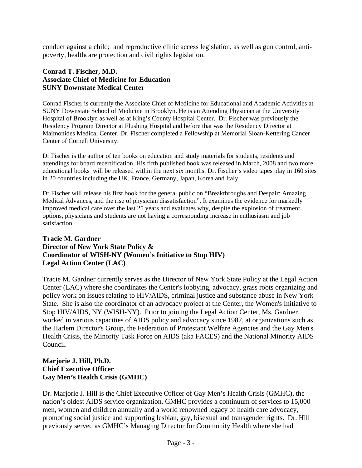conduct against a child; and reproductive clinic access legislation, as well as gun control, antipoverty, healthcare protection and civil rights legislation.

#### **Conrad T. Fischer, M.D. Associate Chief of Medicine for Education SUNY Downstate Medical Center**

Conrad Fischer is currently the Associate Chief of Medicine for Educational and Academic Activities at SUNY Downstate School of Medicine in Brooklyn. He is an Attending Physician at the University Hospital of Brooklyn as well as at King's County Hospital Center. Dr. Fischer was previously the Residency Program Director at Flushing Hospital and before that was the Residency Director at Maimonides Medical Center. Dr. Fischer completed a Fellowship at Memorial Sloan-Kettering Cancer Center of Cornell University.

in 20 countries including the UK, France, Germany, Japan, Korea and Italy. Dr Fischer is the author of ten books on education and study materials for students, residents and attendings for board recertification. His fifth published book was released in March, 2008 and two more educational books will be released within the next six months. Dr. Fischer's video tapes play in 160 sites

Dr Fischer will release his first book for the general public on "Breakthroughs and Despair: Amazing Medical Advances, and the rise of physician dissatisfaction". It examines the evidence for markedly improved medical care over the last 25 years and evaluates why, despite the explosion of treatment options, physicians and students are not having a corresponding increase in enthusiasm and job satisfaction.

#### **Tracie M. Gardner Director of New York State Policy & Coordinator of WISH-NY (Women's Initiative to Stop HIV) Legal Action Center (LAC)**

Tracie M. Gardner currently serves as the Director of New York State Policy at the Legal Action Center (LAC) where she coordinates the Center's lobbying, advocacy, grass roots organizing and policy work on issues relating to HIV/AIDS, criminal justice and substance abuse in New York State. She is also the coordinator of an advocacy project at the Center, the Women's Initiative to Stop HIV/AIDS, NY (WISH-NY). Prior to joining the Legal Action Center, Ms. Gardner worked in various capacities of AIDS policy and advocacy since 1987, at organizations such as the Harlem Director's Group, the Federation of Protestant Welfare Agencies and the Gay Men's Health Crisis, the Minority Task Force on AIDS (aka FACES) and the National Minority AIDS Council.

#### **Marjorie J. Hill, Ph.D. Chief Executive Officer Gay Men's Health Crisis (GMHC)**

Dr. Marjorie J. Hill is the Chief Executive Officer of Gay Men's Health Crisis (GMHC), the nation's oldest AIDS service organization. GMHC provides a continuum of services to 15,000 men, women and children annually and a world renowned legacy of health care advocacy, promoting social justice and supporting lesbian, gay, bisexual and transgender rights. Dr. Hill previously served as GMHC's Managing Director for Community Health where she had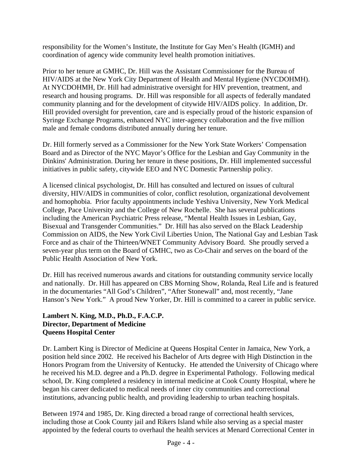responsibility for the Women's Institute, the Institute for Gay Men's Health (IGMH) and coordination of agency wide community level health promotion initiatives.

Prior to her tenure at GMHC, Dr. Hill was the Assistant Commissioner for the Bureau of HIV/AIDS at the New York City Department of Health and Mental Hygiene (NYCDOHMH). At NYCDOHMH, Dr. Hill had administrative oversight for HIV prevention, treatment, and research and housing programs. Dr. Hill was responsible for all aspects of federally mandated community planning and for the development of citywide HIV/AIDS policy. In addition, Dr. Hill provided oversight for prevention, care and is especially proud of the historic expansion of Syringe Exchange Programs, enhanced NYC inter-agency collaboration and the five million male and female condoms distributed annually during her tenure.

Dr. Hill formerly served as a Commissioner for the New York State Workers' Compensation Board and as Director of the NYC Mayor's Office for the Lesbian and Gay Community in the Dinkins' Administration. During her tenure in these positions, Dr. Hill implemented successful initiatives in public safety, citywide EEO and NYC Domestic Partnership policy.

A licensed clinical psychologist, Dr. Hill has consulted and lectured on issues of cultural diversity, HIV/AIDS in communities of color, conflict resolution, organizational devolvement and homophobia. Prior faculty appointments include Yeshiva University, New York Medical College, Pace University and the College of New Rochelle. She has several publications including the American Psychiatric Press release, "Mental Health Issues in Lesbian, Gay, Bisexual and Transgender Communities." Dr. Hill has also served on the Black Leadership Commission on AIDS, the New York Civil Liberties Union, The National Gay and Lesbian Task Force and as chair of the Thirteen/WNET Community Advisory Board. She proudly served a seven-year plus term on the Board of GMHC, two as Co-Chair and serves on the board of the Public Health Association of New York.

Dr. Hill has received numerous awards and citations for outstanding community service locally and nationally. Dr. Hill has appeared on CBS Morning Show, Rolanda, Real Life and is featured in the documentaries "All God's Children", "After Stonewall" and, most recently, "Jane Hanson's New York." A proud New Yorker, Dr. Hill is committed to a career in public service.

#### **Lambert N. King, M.D., Ph.D., F.A.C.P. Director, Department of Medicine Queens Hospital Center**

Dr. Lambert King is Director of Medicine at Queens Hospital Center in Jamaica, New York, a position held since 2002. He received his Bachelor of Arts degree with High Distinction in the Honors Program from the University of Kentucky. He attended the University of Chicago where he received his M.D. degree and a Ph.D. degree in Experimental Pathology. Following medical school, Dr. King completed a residency in internal medicine at Cook County Hospital, where he began his career dedicated to medical needs of inner city communities and correctional institutions, advancing public health, and providing leadership to urban teaching hospitals.

Between 1974 and 1985, Dr. King directed a broad range of correctional health services, including those at Cook County jail and Rikers Island while also serving as a special master appointed by the federal courts to overhaul the health services at Menard Correctional Center in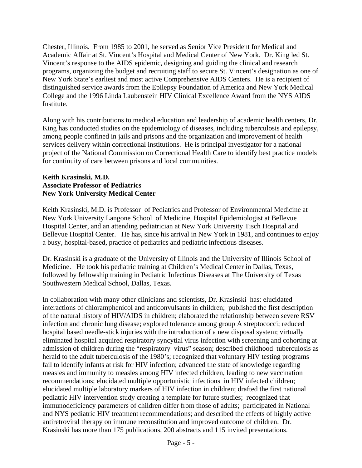Chester, Illinois. From 1985 to 2001, he served as Senior Vice President for Medical and Academic Affair at St. Vincent's Hospital and Medical Center of New York. Dr. King led St. Vincent's response to the AIDS epidemic, designing and guiding the clinical and research programs, organizing the budget and recruiting staff to secure St. Vincent's designation as one of New York State's earliest and most active Comprehensive AIDS Centers. He is a recipient of distinguished service awards from the Epilepsy Foundation of America and New York Medical College and the 1996 Linda Laubenstein HIV Clinical Excellence Award from the NYS AIDS Institute.

Along with his contributions to medical education and leadership of academic health centers, Dr. King has conducted studies on the epidemiology of diseases, including tuberculosis and epilepsy, among people confined in jails and prisons and the organization and improvement of health services delivery within correctional institutions. He is principal investigator for a national project of the National Commission on Correctional Health Care to identify best practice models for continuity of care between prisons and local communities.

#### **Keith Krasinski, M.D. Associate Professor of Pediatrics New York University Medical Center**

Keith Krasinski, M.D. is Professor of Pediatrics and Professor of Environmental Medicine at New York University Langone School of Medicine, Hospital Epidemiologist at Bellevue Hospital Center, and an attending pediatrician at New York University Tisch Hospital and Bellevue Hospital Center. He has, since his arrival in New York in 1981, and continues to enjoy a busy, hospital-based, practice of pediatrics and pediatric infectious diseases.

Dr. Krasinski is a graduate of the University of Illinois and the University of Illinois School of Medicine. He took his pediatric training at Children's Medical Center in Dallas, Texas, followed by fellowship training in Pediatric Infectious Diseases at The University of Texas Southwestern Medical School, Dallas, Texas.

In collaboration with many other clinicians and scientists, Dr. Krasinski has: elucidated interactions of chloramphenicol and anticonvulsants in children; published the first description of the natural history of HIV/AIDS in children; elaborated the relationship between severe RSV infection and chronic lung disease; explored tolerance among group A streptococci; reduced hospital based needle-stick injuries with the introduction of a new disposal system; virtually eliminated hospital acquired respiratory syncytial virus infection with screening and cohorting at admission of children during the "respiratory virus" season; described childhood tuberculosis as herald to the adult tuberculosis of the 1980's; recognized that voluntary HIV testing programs fail to identify infants at risk for HIV infection; advanced the state of knowledge regarding measles and immunity to measles among HIV infected children, leading to new vaccination recommendations; elucidated multiple opportunistic infections in HIV infected children; elucidated multiple laboratory markers of HIV infection in children; drafted the first national pediatric HIV intervention study creating a template for future studies; recognized that immunodeficiency parameters of children differ from those of adults; participated in National and NYS pediatric HIV treatment recommendations; and described the effects of highly active antiretroviral therapy on immune reconstitution and improved outcome of children. Dr. Krasinski has more than 175 publications, 200 abstracts and 115 invited presentations.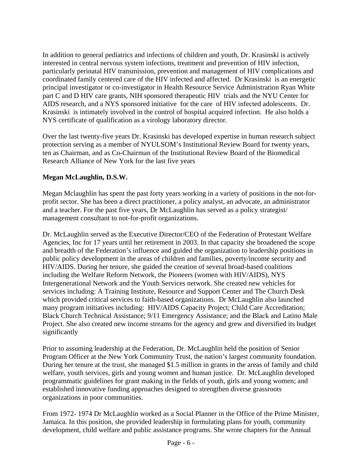In addition to general pediatrics and infections of children and youth, Dr. Krasinski is actively interested in central nervous system infections, treatment and prevention of HIV infection, particularly perinatal HIV transmission, prevention and management of HIV complications and coordinated family centered care of the HIV infected and affected. Dr Krasinski is an energetic principal investigator or co-investigator in Health Resource Service Administration Ryan White part C and D HIV care grants, NIH sponsored therapeutic HIV trials and the NYU Center for AIDS research, and a NYS sponsored initiative for the care of HIV infected adolescents. Dr. Krasinski is intimately involved in the control of hospital acquired infection. He also holds a NYS certificate of qualification as a virology laboratory director.

Over the last twenty-five years Dr. Krasinski has developed expertise in human research subject protection serving as a member of NYULSOM's Institutional Review Board for twenty years, ten as Chairman, and as Co-Chairman of the Institutional Review Board of the Biomedical Research Alliance of New York for the last five years

#### **Megan McLaughlin, D.S.W.**

Megan Mclaughlin has spent the past forty years working in a variety of positions in the not-forprofit sector. She has been a direct practitioner, a policy analyst, an advocate, an administrator and a teacher. For the past five years, Dr McLaughlin has served as a policy strategist/ management consultant to not-for-profit organizations.

Dr. McLaughlin served as the Executive Director/CEO of the Federation of Protestant Welfare Agencies, Inc for 17 years until her retirement in 2003. In that capacity she broadened the scope and breadth of the Federation's influence and guided the organization to leadership positions in public policy development in the areas of children and families, poverty/income security and HIV/AIDS. During her tenure, she guided the creation of several broad-based coalitions including the Welfare Reform Network, the Pioneers (women with HIV/AIDS), NYS Intergenerational Network and the Youth Services network. She created new vehicles for services including: A Training Institute, Resource and Support Center and The Church Desk which provided critical services to faith-based organizations. Dr McLaughlin also launched many program initiatives including: HIV/AIDS Capacity Project; Child Care Accreditation; Black Church Technical Assistance; 9/11 Emergency Assistance; and the Black and Latino Male Project. She also created new income streams for the agency and grew and diversified its budget significantly

Prior to assuming leadership at the Federation, Dr. McLaughlin held the position of Senior Program Officer at the New York Community Trust, the nation's largest community foundation. During her tenure at the trust, she managed \$1.5 million in grants in the areas of family and child welfare, youth services, girls and young women and human justice. Dr. McLaughlin developed programmatic guidelines for grant making in the fields of youth, girls and young women; and established innovative funding approaches designed to strengthen diverse grassroots organizations in poor communities.

From 1972- 1974 Dr McLaughlin worked as a Social Planner in the Office of the Prime Minister, Jamaica. In this position, she provided leadership in formulating plans for youth, community development, child welfare and public assistance programs. She wrote chapters for the Annual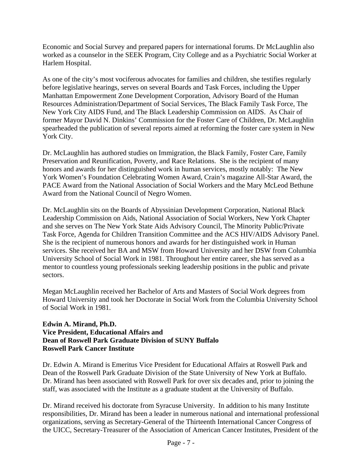Economic and Social Survey and prepared papers for international forums. Dr McLaughlin also worked as a counselor in the SEEK Program, City College and as a Psychiatric Social Worker at Harlem Hospital.

As one of the city's most vociferous advocates for families and children, she testifies regularly before legislative hearings, serves on several Boards and Task Forces, including the Upper Manhattan Empowerment Zone Development Corporation, Advisory Board of the Human Resources Administration/Department of Social Services, The Black Family Task Force, The New York City AIDS Fund, and The Black Leadership Commission on AIDS. As Chair of former Mayor David N. Dinkins' Commission for the Foster Care of Children, Dr. McLaughlin spearheaded the publication of several reports aimed at reforming the foster care system in New York City.

Dr. McLaughlin has authored studies on Immigration, the Black Family, Foster Care, Family Preservation and Reunification, Poverty, and Race Relations. She is the recipient of many honors and awards for her distinguished work in human services, mostly notably: The New York Women's Foundation Celebrating Women Award, Crain's magazine All-Star Award, the PACE Award from the National Association of Social Workers and the Mary McLeod Bethune Award from the National Council of Negro Women.

Dr. McLaughlin sits on the Boards of Abyssinian Development Corporation, National Black Leadership Commission on Aids, National Association of Social Workers, New York Chapter and she serves on The New York State Aids Advisory Council, The Minority Public/Private Task Force, Agenda for Children Transition Committee and the ACS HIV/AIDS Advisory Panel. She is the recipient of numerous honors and awards for her distinguished work in Human services. She received her BA and MSW from Howard University and her DSW from Columbia University School of Social Work in 1981. Throughout her entire career, she has served as a mentor to countless young professionals seeking leadership positions in the public and private sectors.

Megan McLaughlin received her Bachelor of Arts and Masters of Social Work degrees from Howard University and took her Doctorate in Social Work from the Columbia University School of Social Work in 1981.

#### **Edwin A. Mirand, Ph.D. Vice President, Educational Affairs and Dean of Roswell Park Graduate Division of SUNY Buffalo Roswell Park Cancer Institute**

Dr. Edwin A. Mirand is Emeritus Vice President for Educational Affairs at Roswell Park and Dean of the Roswell Park Graduate Division of the State University of New York at Buffalo. Dr. Mirand has been associated with Roswell Park for over six decades and, prior to joining the staff, was associated with the Institute as a graduate student at the University of Buffalo.

Dr. Mirand received his doctorate from Syracuse University. In addition to his many Institute responsibilities, Dr. Mirand has been a leader in numerous national and international professional organizations, serving as Secretary-General of the Thirteenth International Cancer Congress of the UICC, Secretary-Treasurer of the Association of American Cancer Institutes, President of the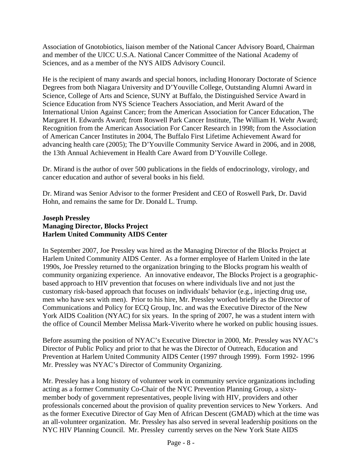Association of Gnotobiotics, liaison member of the National Cancer Advisory Board, Chairman and member of the UICC U.S.A. National Cancer Committee of the National Academy of Sciences, and as a member of the NYS AIDS Advisory Council.

He is the recipient of many awards and special honors, including Honorary Doctorate of Science Degrees from both Niagara University and D'Youville College, Outstanding Alumni Award in Science, College of Arts and Science, SUNY at Buffalo, the Distinguished Service Award in Science Education from NYS Science Teachers Association, and Merit Award of the International Union Against Cancer; from the American Association for Cancer Education, The Margaret H. Edwards Award; from Roswell Park Cancer Institute, The William H. Wehr Award; Recognition from the American Association For Cancer Research in 1998; from the Association of American Cancer Institutes in 2004, The Buffalo First Lifetime Achievement Award for advancing health care (2005); The D'Youville Community Service Award in 2006, and in 2008, the 13th Annual Achievement in Health Care Award from D'Youville College.

Dr. Mirand is the author of over 500 publications in the fields of endocrinology, virology, and cancer education and author of several books in his field.

Dr. Mirand was Senior Advisor to the former President and CEO of Roswell Park, Dr. David Hohn, and remains the same for Dr. Donald L. Trump.

#### **Joseph Pressley Managing Director, Blocks Project Harlem United Community AIDS Center**

In September 2007, Joe Pressley was hired as the Managing Director of the Blocks Project at Harlem United Community AIDS Center. As a former employee of Harlem United in the late 1990s, Joe Pressley returned to the organization bringing to the Blocks program his wealth of community organizing experience. An innovative endeavor, The Blocks Project is a geographicbased approach to HIV prevention that focuses on where individuals live and not just the customary risk-based approach that focuses on individuals' behavior (e.g., injecting drug use, men who have sex with men). Prior to his hire, Mr. Pressley worked briefly as the Director of Communications and Policy for ECQ Group, Inc. and was the Executive Director of the New York AIDS Coalition (NYAC) for six years. In the spring of 2007, he was a student intern with the office of Council Member Melissa Mark-Viverito where he worked on public housing issues.

Before assuming the position of NYAC's Executive Director in 2000, Mr. Pressley was NYAC's Director of Public Policy and prior to that he was the Director of Outreach, Education and Prevention at Harlem United Community AIDS Center (1997 through 1999). Form 1992- 1996 Mr. Pressley was NYAC's Director of Community Organizing.

Mr. Pressley has a long history of volunteer work in community service organizations including acting as a former Community Co-Chair of the NYC Prevention Planning Group, a sixtymember body of government representatives, people living with HIV, providers and other professionals concerned about the provision of quality prevention services to New Yorkers. And as the former Executive Director of Gay Men of African Descent (GMAD) which at the time was an all-volunteer organization. Mr. Pressley has also served in several leadership positions on the NYC HIV Planning Council. Mr. Pressley currently serves on the New York State AIDS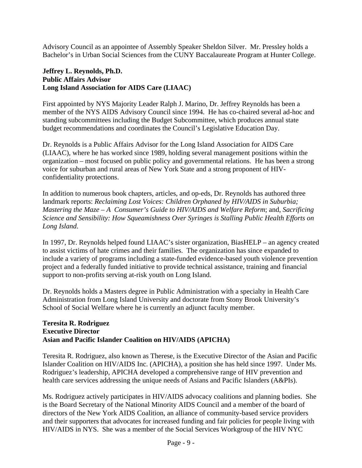Advisory Council as an appointee of Assembly Speaker Sheldon Silver. Mr. Pressley holds a Bachelor's in Urban Social Sciences from the CUNY Baccalaureate Program at Hunter College.

#### **Jeffrey L. Reynolds, Ph.D. Public Affairs Advisor Long Island Association for AIDS Care (LIAAC)**

First appointed by NYS Majority Leader Ralph J. Marino, Dr. Jeffrey Reynolds has been a member of the NYS AIDS Advisory Council since 1994. He has co-chaired several ad-hoc and standing subcommittees including the Budget Subcommittee, which produces annual state budget recommendations and coordinates the Council's Legislative Education Day.

Dr. Reynolds is a Public Affairs Advisor for the Long Island Association for AIDS Care (LIAAC), where he has worked since 1989, holding several management positions within the organization – most focused on public policy and governmental relations. He has been a strong voice for suburban and rural areas of New York State and a strong proponent of HIVconfidentiality protections.

In addition to numerous book chapters, articles, and op-eds, Dr. Reynolds has authored three landmark reports: *Reclaiming Lost Voices: Children Orphaned by HIV/AIDS in Suburbia; Mastering the Maze – A Consumer's Guide to HIV/AIDS and Welfare Reform*; and, *Sacrificing Science and Sensibility: How Squeamishness Over Syringes is Stalling Public Health Efforts on Long Island*.

In 1997, Dr. Reynolds helped found LIAAC's sister organization, BiasHELP – an agency created to assist victims of hate crimes and their families. The organization has since expanded to include a variety of programs including a state-funded evidence-based youth violence prevention project and a federally funded initiative to provide technical assistance, training and financial support to non-profits serving at-risk youth on Long Island.

Dr. Reynolds holds a Masters degree in Public Administration with a specialty in Health Care Administration from Long Island University and doctorate from Stony Brook University's School of Social Welfare where he is currently an adjunct faculty member.

#### **Teresita R. Rodriguez Executive Director Asian and Pacific Islander Coalition on HIV/AIDS (APICHA)**

Teresita R. Rodriguez, also known as Therese, is the Executive Director of the Asian and Pacific Islander Coalition on HIV/AIDS Inc. (APICHA), a position she has held since 1997. Under Ms. Rodriguez's leadership, APICHA developed a comprehensive range of HIV prevention and health care services addressing the unique needs of Asians and Pacific Islanders (A&PIs).

Ms. Rodriguez actively participates in HIV/AIDS advocacy coalitions and planning bodies. She is the Board Secretary of the National Minority AIDS Council and a member of the board of directors of the New York AIDS Coalition, an alliance of community-based service providers and their supporters that advocates for increased funding and fair policies for people living with HIV/AIDS in NYS. She was a member of the Social Services Workgroup of the HIV NYC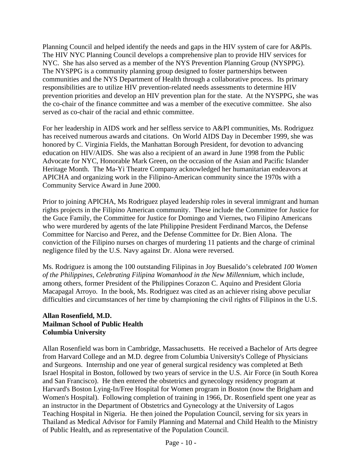Planning Council and helped identify the needs and gaps in the HIV system of care for A&PIs. The HIV NYC Planning Council develops a comprehensive plan to provide HIV services for NYC. She has also served as a member of the NYS Prevention Planning Group (NYSPPG). The NYSPPG is a community planning group designed to foster partnerships between communities and the NYS Department of Health through a collaborative process. Its primary responsibilities are to utilize HIV prevention-related needs assessments to determine HIV prevention priorities and develop an HIV prevention plan for the state. At the NYSPPG, she was the co-chair of the finance committee and was a member of the executive committee. She also served as co-chair of the racial and ethnic committee.

For her leadership in AIDS work and her selfless service to A&PI communities, Ms. Rodriguez has received numerous awards and citations. On World AIDS Day in December 1999, she was honored by C. Virginia Fields, the Manhattan Borough President, for devotion to advancing education on HIV/AIDS. She was also a recipient of an award in June 1998 from the Public Advocate for NYC, Honorable Mark Green, on the occasion of the Asian and Pacific Islander Heritage Month. The Ma-Yi Theatre Company acknowledged her humanitarian endeavors at APICHA and organizing work in the Filipino-American community since the 1970s with a Community Service Award in June 2000.

Prior to joining APICHA, Ms Rodriguez played leadership roles in several immigrant and human rights projects in the Filipino American community. These include the Committee for Justice for the Guce Family, the Committee for Justice for Domingo and Viernes, two Filipino Americans who were murdered by agents of the late Philippine President Ferdinand Marcos, the Defense Committee for Narciso and Perez, and the Defense Committee for Dr. Bien Alona. The conviction of the Filipino nurses on charges of murdering 11 patients and the charge of criminal negligence filed by the U.S. Navy against Dr. Alona were reversed.

Ms. Rodriguez is among the 100 outstanding Filipinas in Joy Buesalido's celebrated *100 Women of the Philippines, Celebrating Filipina Womanhood in the New Millennium*, which include, among others, former President of the Philippines Corazon C. Aquino and President Gloria Macapagal Arroyo. In the book, Ms. Rodriguez was cited as an achiever rising above peculiar difficulties and circumstances of her time by championing the civil rights of Filipinos in the U.S.

#### **Allan Rosenfield, M.D. Mailman School of Public Health Columbia University**

Allan Rosenfield was born in Cambridge, Massachusetts. He received a Bachelor of Arts degree from Harvard College and an M.D. degree from Columbia University's College of Physicians and Surgeons. Internship and one year of general surgical residency was completed at Beth Israel Hospital in Boston, followed by two years of service in the U.S. Air Force (in South Korea and San Francisco). He then entered the obstetrics and gynecology residency program at Harvard's Boston Lying-In/Free Hospital for Women program in Boston (now the Brigham and Women's Hospital). Following completion of training in 1966, Dr. Rosenfield spent one year as an instructor in the Department of Obstetrics and Gynecology at the University of Lagos Teaching Hospital in Nigeria. He then joined the Population Council, serving for six years in Thailand as Medical Advisor for Family Planning and Maternal and Child Health to the Ministry of Public Health, and as representative of the Population Council.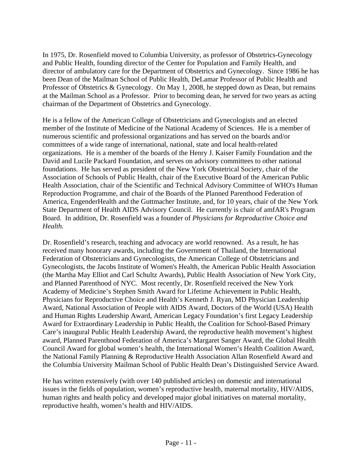In 1975, Dr. Rosenfield moved to Columbia University, as professor of Obstetrics-Gynecology and Public Health, founding director of the Center for Population and Family Health, and director of ambulatory care for the Department of Obstetrics and Gynecology. Since 1986 he has been Dean of the Mailman School of Public Health, DeLamar Professor of Public Health and Professor of Obstetrics & Gynecology. On May 1, 2008, he stepped down as Dean, but remains at the Mailman School as a Professor. Prior to becoming dean, he served for two years as acting chairman of the Department of Obstetrics and Gynecology.

He is a fellow of the American College of Obstetricians and Gynecologists and an elected member of the Institute of Medicine of the National Academy of Sciences. He is a member of numerous scientific and professional organizations and has served on the boards and/or committees of a wide range of international, national, state and local health-related organizations. He is a member of the boards of the Henry J. Kaiser Family Foundation and the David and Lucile Packard Foundation, and serves on advisory committees to other national foundations. He has served as president of the New York Obstetrical Society, chair of the Association of Schools of Public Health, chair of the Executive Board of the American Public Health Association, chair of the Scientific and Technical Advisory Committee of WHO's Human Reproduction Programme, and chair of the Boards of the Planned Parenthood Federation of America, EngenderHealth and the Guttmacher Institute, and, for 10 years, chair of the New York State Department of Health AIDS Advisory Council. He currently is chair of amfAR's Program Board. In addition, Dr. Rosenfield was a founder of *Physicians for Reproductive Choice and Health.* 

Dr. Rosenfield's research, teaching and advocacy are world renowned. As a result, he has received many honorary awards, including the Government of Thailand, the International Federation of Obstetricians and Gynecologists, the American College of Obstetricians and Gynecologists, the Jacobs Institute of Women's Health, the American Public Health Association (the Martha May Elliot and Carl Schultz Awards), Public Health Association of New York City, and Planned Parenthood of NYC. Most recently, Dr. Rosenfield received the New York Academy of Medicine's Stephen Smith Award for Lifetime Achievement in Public Health, Physicians for Reproductive Choice and Health's Kenneth J. Ryan, MD Physician Leadership Award, National Association of People with AIDS Award, Doctors of the World (USA) Health and Human Rights Leadership Award, American Legacy Foundation's first Legacy Leadership Award for Extraordinary Leadership in Public Health, the Coalition for School-Based Primary Care's inaugural Public Health Leadership Award, the reproductive health movement's highest award, Planned Parenthood Federation of America's Margaret Sanger Award, the Global Health Council Award for global women's health, the International Women's Health Coalition Award, the National Family Planning & Reproductive Health Association Allan Rosenfield Award and the Columbia University Mailman School of Public Health Dean's Distinguished Service Award.

He has written extensively (with over 140 published articles) on domestic and international issues in the fields of population, women's reproductive health, maternal mortality, HIV/AIDS, human rights and health policy and developed major global initiatives on maternal mortality, reproductive health, women's health and HIV/AIDS.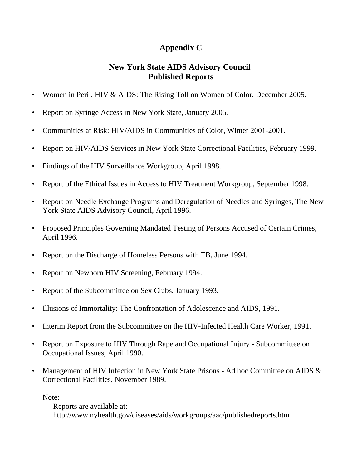# **Appendix C**

### **New York State AIDS Advisory Council Published Reports**

- Women in Peril, HIV & AIDS: The Rising Toll on Women of Color, December 2005.
- Report on Syringe Access in New York State, January 2005.
- • Communities at Risk: HIV/AIDS in Communities of Color, Winter 2001-2001.
- Report on HIV/AIDS Services in New York State Correctional Facilities, February 1999.
- Findings of the HIV Surveillance Workgroup, April 1998.
- Report of the Ethical Issues in Access to HIV Treatment Workgroup, September 1998.
- Report on Needle Exchange Programs and Deregulation of Needles and Syringes, The New York State AIDS Advisory Council, April 1996.
- Proposed Principles Governing Mandated Testing of Persons Accused of Certain Crimes, April 1996.
- Report on the Discharge of Homeless Persons with TB, June 1994.
- Report on Newborn HIV Screening, February 1994.
- Report of the Subcommittee on Sex Clubs, January 1993.
- Illusions of Immortality: The Confrontation of Adolescence and AIDS, 1991.
- Interim Report from the Subcommittee on the HIV-Infected Health Care Worker, 1991.
- Report on Exposure to HIV Through Rape and Occupational Injury Subcommittee on Occupational Issues, April 1990.
- Management of HIV Infection in New York State Prisons Ad hoc Committee on AIDS & Correctional Facilities, November 1989.

Note:

Reports are available at: http://www.nyhealth.gov/diseases/aids/workgroups/aac/publishedreports.htm